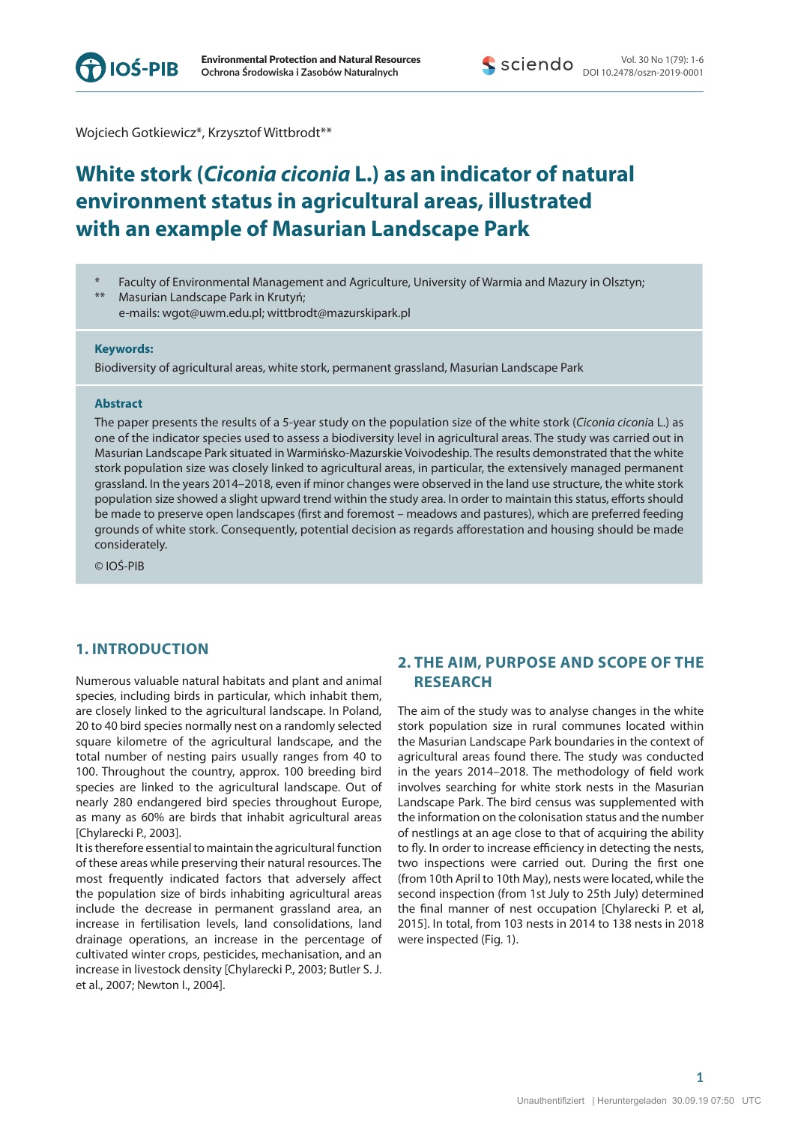

Wojciech Gotkiewicz\*, Krzysztof Wittbrodt\*\*

# **White stork (***Ciconia ciconia* **L.) as an indicator of natural environment status in agricultural areas, illustrated with an example of Masurian Landscape Park**

Faculty of Environmental Management and Agriculture, University of Warmia and Mazury in Olsztyn; Masurian Landscape Park in Krutyń;

e-mails: wgot@uwm.edu.pl; wittbrodt@mazurskipark.pl

#### **Keywords:**

Biodiversity of agricultural areas, white stork, permanent grassland, Masurian Landscape Park

#### **Abstract**

The paper presents the results of a 5-year study on the population size of the white stork (*Ciconia ciconi*a L.) as one of the indicator species used to assess a biodiversity level in agricultural areas. The study was carried out in Masurian Landscape Park situated in Warmińsko-Mazurskie Voivodeship. The results demonstrated that the white stork population size was closely linked to agricultural areas, in particular, the extensively managed permanent grassland. In the years 2014–2018, even if minor changes were observed in the land use structure, the white stork population size showed a slight upward trend within the study area. In order to maintain this status, efforts should be made to preserve open landscapes (first and foremost – meadows and pastures), which are preferred feeding grounds of white stork. Consequently, potential decision as regards afforestation and housing should be made considerately.

© IOŚ-PIB

## **1. INTRODUCTION**

Numerous valuable natural habitats and plant and animal species, including birds in particular, which inhabit them, are closely linked to the agricultural landscape. In Poland, 20 to 40 bird species normally nest on a randomly selected square kilometre of the agricultural landscape, and the total number of nesting pairs usually ranges from 40 to 100. Throughout the country, approx. 100 breeding bird species are linked to the agricultural landscape. Out of nearly 280 endangered bird species throughout Europe, as many as 60% are birds that inhabit agricultural areas [Chylarecki P., 2003].

It is therefore essential to maintain the agricultural function of these areas while preserving their natural resources. The most frequently indicated factors that adversely affect the population size of birds inhabiting agricultural areas include the decrease in permanent grassland area, an increase in fertilisation levels, land consolidations, land drainage operations, an increase in the percentage of cultivated winter crops, pesticides, mechanisation, and an increase in livestock density [Chylarecki P., 2003; Butler S. J. et al., 2007; Newton I., 2004].

# **2. THE AIM, PURPOSE AND SCOPE OF THE RESEARCH**

The aim of the study was to analyse changes in the white stork population size in rural communes located within the Masurian Landscape Park boundaries in the context of agricultural areas found there. The study was conducted in the years 2014–2018. The methodology of field work involves searching for white stork nests in the Masurian Landscape Park. The bird census was supplemented with the information on the colonisation status and the number of nestlings at an age close to that of acquiring the ability to fly. In order to increase efficiency in detecting the nests, two inspections were carried out. During the first one (from 10th April to 10th May), nests were located, while the second inspection (from 1st July to 25th July) determined the final manner of nest occupation [Chylarecki P. et al, 2015]. In total, from 103 nests in 2014 to 138 nests in 2018 were inspected (Fig. 1).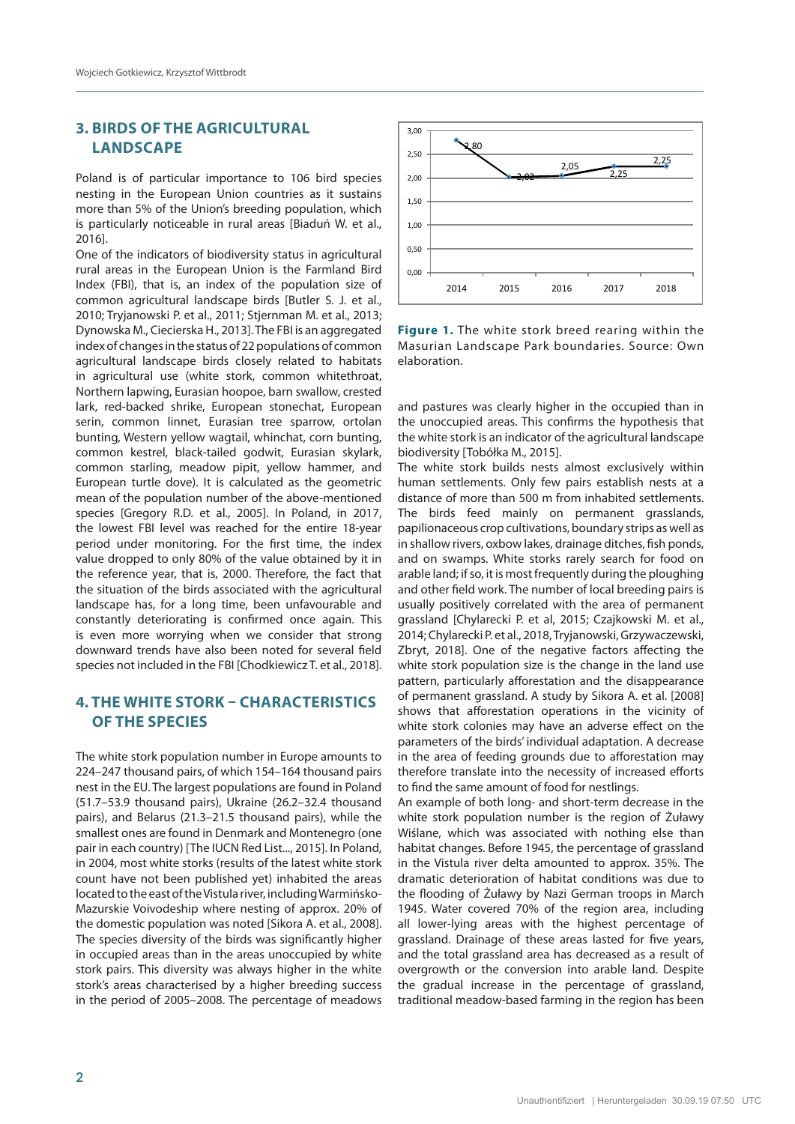# **3. BIRDS OF THE AGRICULTURAL LANDSCAPE**

Poland is of particular importance to 106 bird species nesting in the European Union countries as it sustains more than 5% of the Union's breeding population, which is particularly noticeable in rural areas [Biaduń W. et al., 2016].

One of the indicators of biodiversity status in agricultural rural areas in the European Union is the Farmland Bird Index (FBI), that is, an index of the population size of common agricultural landscape birds [Butler S. J. et al., 2010; Tryjanowski P. et al., 2011; Stjernman M. et al., 2013; Dynowska M., Ciecierska H., 2013]. The FBI is an aggregated index of changes in the status of 22 populations of common agricultural landscape birds closely related to habitats in agricultural use (white stork, common whitethroat, Northern lapwing, Eurasian hoopoe, barn swallow, crested lark, red-backed shrike, European stonechat, European serin, common linnet, Eurasian tree sparrow, ortolan bunting, Western yellow wagtail, whinchat, corn bunting, common kestrel, black-tailed godwit, Eurasian skylark, common starling, meadow pipit, yellow hammer, and European turtle dove). It is calculated as the geometric mean of the population number of the above-mentioned species [Gregory R.D. et al., 2005]. In Poland, in 2017, the lowest FBI level was reached for the entire 18-year period under monitoring. For the first time, the index value dropped to only 80% of the value obtained by it in the reference year, that is, 2000. Therefore, the fact that the situation of the birds associated with the agricultural landscape has, for a long time, been unfavourable and constantly deteriorating is confirmed once again. This is even more worrying when we consider that strong downward trends have also been noted for several field species not included in the FBI [Chodkiewicz T. et al., 2018].

## **4. THE WHITE STORK – CHARACTERISTICS OF THE SPECIES**

The white stork population number in Europe amounts to 224–247 thousand pairs, of which 154–164 thousand pairs nest in the EU. The largest populations are found in Poland (51.7–53.9 thousand pairs), Ukraine (26.2–32.4 thousand pairs), and Belarus (21.3–21.5 thousand pairs), while the smallest ones are found in Denmark and Montenegro (one pair in each country) [The IUCN Red List..., 2015]. In Poland, in 2004, most white storks (results of the latest white stork count have not been published yet) inhabited the areas located to the east of the Vistula river, including Warmińsko-Mazurskie Voivodeship where nesting of approx. 20% of the domestic population was noted [Sikora A. et al., 2008]. The species diversity of the birds was significantly higher in occupied areas than in the areas unoccupied by white stork pairs. This diversity was always higher in the white stork's areas characterised by a higher breeding success in the period of 2005–2008. The percentage of meadows



**Figure 1.** The white stork breed rearing within the Masurian Landscape Park boundaries. Source: Own elaboration.

and pastures was clearly higher in the occupied than in the unoccupied areas. This confirms the hypothesis that the white stork is an indicator of the agricultural landscape biodiversity [Tobółka M., 2015].

The white stork builds nests almost exclusively within human settlements. Only few pairs establish nests at a distance of more than 500 m from inhabited settlements. The birds feed mainly on permanent grasslands, papilionaceous crop cultivations, boundary strips as well as in shallow rivers, oxbow lakes, drainage ditches, fish ponds, and on swamps. White storks rarely search for food on arable land; if so, it is most frequently during the ploughing and other field work. The number of local breeding pairs is usually positively correlated with the area of permanent grassland [Chylarecki P. et al, 2015; Czajkowski M. et al., 2014; Chylarecki P. et al., 2018, Tryjanowski, Grzywaczewski, Zbryt, 2018]. One of the negative factors affecting the white stork population size is the change in the land use pattern, particularly afforestation and the disappearance of permanent grassland. A study by Sikora A. et al. [2008] shows that afforestation operations in the vicinity of white stork colonies may have an adverse effect on the parameters of the birds' individual adaptation. A decrease in the area of feeding grounds due to afforestation may therefore translate into the necessity of increased efforts to find the same amount of food for nestlings.

An example of both long- and short-term decrease in the white stork population number is the region of Żuławy Wiślane, which was associated with nothing else than habitat changes. Before 1945, the percentage of grassland in the Vistula river delta amounted to approx. 35%. The dramatic deterioration of habitat conditions was due to the flooding of Żuławy by Nazi German troops in March 1945. Water covered 70% of the region area, including all lower-lying areas with the highest percentage of grassland. Drainage of these areas lasted for five years, and the total grassland area has decreased as a result of overgrowth or the conversion into arable land. Despite the gradual increase in the percentage of grassland, traditional meadow-based farming in the region has been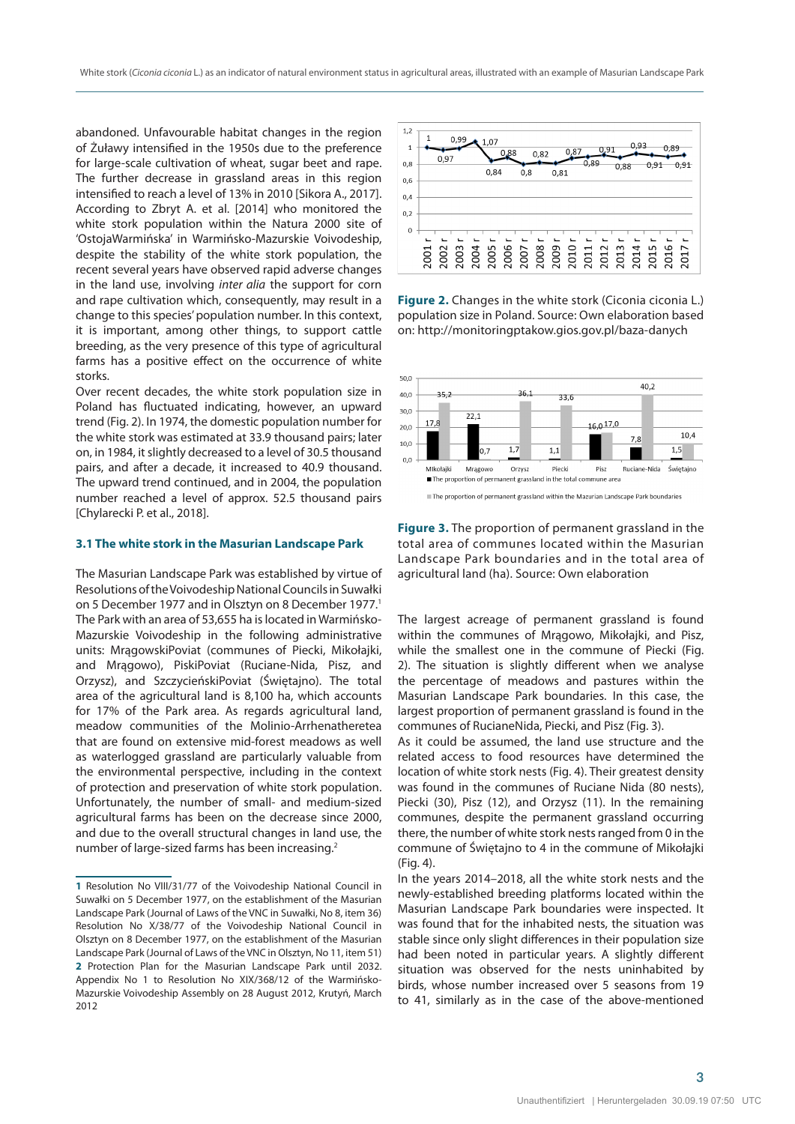abandoned. Unfavourable habitat changes in the region of Żuławy intensified in the 1950s due to the preference for large-scale cultivation of wheat, sugar beet and rape. The further decrease in grassland areas in this region intensified to reach a level of 13% in 2010 [Sikora A., 2017]. According to Zbryt A. et al. [2014] who monitored the white stork population within the Natura 2000 site of 'OstojaWarmińska' in Warmińsko-Mazurskie Voivodeship, despite the stability of the white stork population, the recent several years have observed rapid adverse changes in the land use, involving *inter alia* the support for corn and rape cultivation which, consequently, may result in a change to this species' population number. In this context, it is important, among other things, to support cattle breeding, as the very presence of this type of agricultural farms has a positive effect on the occurrence of white storks.

Over recent decades, the white stork population size in Poland has fluctuated indicating, however, an upward trend (Fig. 2). In 1974, the domestic population number for the white stork was estimated at 33.9 thousand pairs; later on, in 1984, it slightly decreased to a level of 30.5 thousand pairs, and after a decade, it increased to 40.9 thousand. The upward trend continued, and in 2004, the population number reached a level of approx. 52.5 thousand pairs [Chylarecki P. et al., 2018].

#### **3.1 The white stork in the Masurian Landscape Park**

The Masurian Landscape Park was established by virtue of Resolutions of the Voivodeship National Councils in Suwałki on 5 December 1977 and in Olsztyn on 8 December 1977.<sup>1</sup> The Park with an area of 53,655 ha is located in Warmińsko-Mazurskie Voivodeship in the following administrative units: MrągowskiPoviat (communes of Piecki, Mikołajki, and Mrągowo), PiskiPoviat (Ruciane-Nida, Pisz, and Orzysz), and SzczycieńskiPoviat (Świętajno). The total area of the agricultural land is 8,100 ha, which accounts for 17% of the Park area. As regards agricultural land, meadow communities of the Molinio-Arrhenatheretea that are found on extensive mid-forest meadows as well as waterlogged grassland are particularly valuable from the environmental perspective, including in the context of protection and preservation of white stork population. Unfortunately, the number of small- and medium-sized agricultural farms has been on the decrease since 2000, and due to the overall structural changes in land use, the number of large-sized farms has been increasing.2



**Figure 2.** Changes in the white stork (Ciconia ciconia L.) population size in Poland. Source: Own elaboration based on: http://monitoringptakow.gios.gov.pl/baza-danych



**Figure 3.** The proportion of permanent grassland in the total area of communes located within the Masurian Landscape Park boundaries and in the total area of agricultural land (ha). Source: Own elaboration

The largest acreage of permanent grassland is found within the communes of Mrągowo, Mikołajki, and Pisz, while the smallest one in the commune of Piecki (Fig. 2). The situation is slightly different when we analyse the percentage of meadows and pastures within the Masurian Landscape Park boundaries. In this case, the largest proportion of permanent grassland is found in the communes of RucianeNida, Piecki, and Pisz (Fig. 3).

As it could be assumed, the land use structure and the related access to food resources have determined the location of white stork nests (Fig. 4). Their greatest density was found in the communes of Ruciane Nida (80 nests), Piecki (30), Pisz (12), and Orzysz (11). In the remaining communes, despite the permanent grassland occurring there, the number of white stork nests ranged from 0 in the commune of Świętajno to 4 in the commune of Mikołajki (Fig. 4).

In the years 2014–2018, all the white stork nests and the newly-established breeding platforms located within the Masurian Landscape Park boundaries were inspected. It was found that for the inhabited nests, the situation was stable since only slight differences in their population size had been noted in particular years. A slightly different situation was observed for the nests uninhabited by birds, whose number increased over 5 seasons from 19 to 41, similarly as in the case of the above-mentioned

**3**

**<sup>1</sup>** Resolution No VIII/31/77 of the Voivodeship National Council in Suwałki on 5 December 1977, on the establishment of the Masurian Landscape Park (Journal of Laws of the VNC in Suwałki, No 8, item 36) Resolution No X/38/77 of the Voivodeship National Council in Olsztyn on 8 December 1977, on the establishment of the Masurian Landscape Park (Journal of Laws of the VNC in Olsztyn, No 11, item 51) **2** Protection Plan for the Masurian Landscape Park until 2032. Appendix No 1 to Resolution No XIX/368/12 of the Warmińsko-Mazurskie Voivodeship Assembly on 28 August 2012, Krutyń, March 2012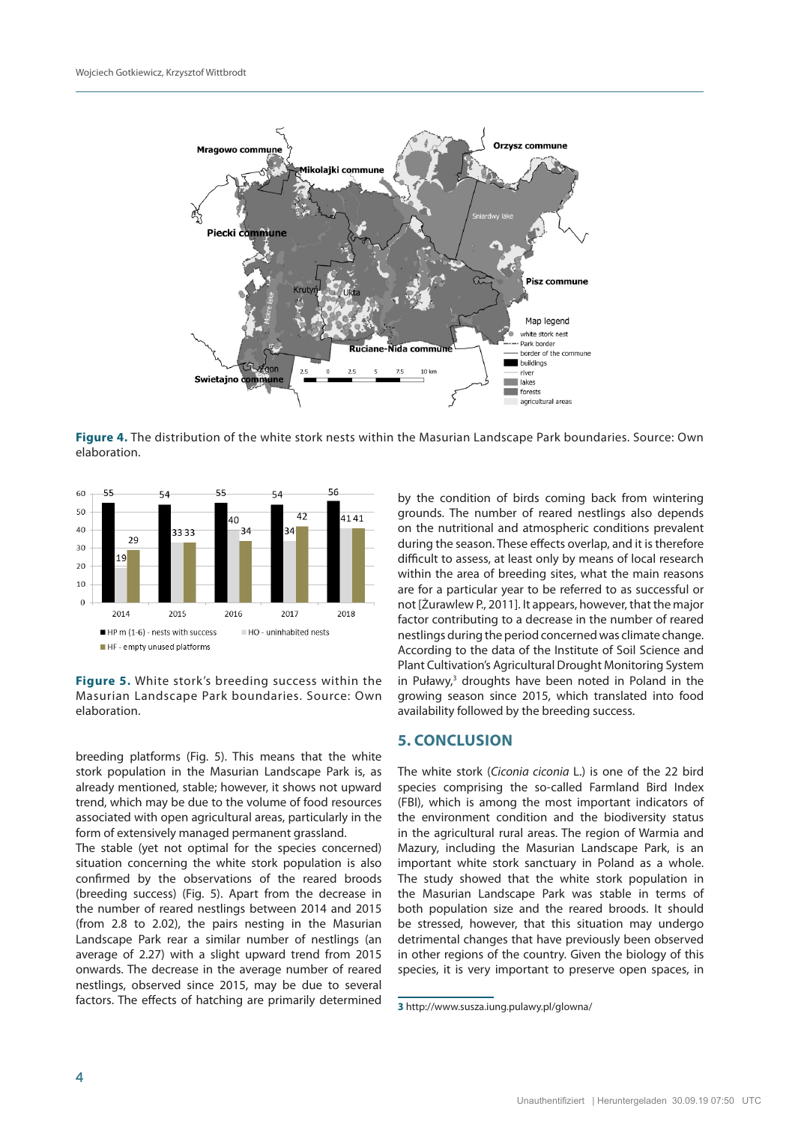

**Figure 4.** The distribution of the white stork nests within the Masurian Landscape Park boundaries. Source: Own elaboration.



**Figure 5.** White stork's breeding success within the Masurian Landscape Park boundaries. Source: Own elaboration.

breeding platforms (Fig. 5). This means that the white stork population in the Masurian Landscape Park is, as already mentioned, stable; however, it shows not upward trend, which may be due to the volume of food resources associated with open agricultural areas, particularly in the form of extensively managed permanent grassland.

The stable (yet not optimal for the species concerned) situation concerning the white stork population is also confirmed by the observations of the reared broods (breeding success) (Fig. 5). Apart from the decrease in the number of reared nestlings between 2014 and 2015 (from 2.8 to 2.02), the pairs nesting in the Masurian Landscape Park rear a similar number of nestlings (an average of 2.27) with a slight upward trend from 2015 onwards. The decrease in the average number of reared nestlings, observed since 2015, may be due to several factors. The effects of hatching are primarily determined by the condition of birds coming back from wintering grounds. The number of reared nestlings also depends on the nutritional and atmospheric conditions prevalent during the season. These effects overlap, and it is therefore difficult to assess, at least only by means of local research within the area of breeding sites, what the main reasons are for a particular year to be referred to as successful or not [Żurawlew P., 2011]. It appears, however, that the major factor contributing to a decrease in the number of reared nestlings during the period concerned was climate change. According to the data of the Institute of Soil Science and Plant Cultivation's Agricultural Drought Monitoring System in Puławy,<sup>3</sup> droughts have been noted in Poland in the growing season since 2015, which translated into food availability followed by the breeding success.

### **5. CONCLUSION**

The white stork (*Ciconia ciconia* L.) is one of the 22 bird species comprising the so-called Farmland Bird Index (FBI), which is among the most important indicators of the environment condition and the biodiversity status in the agricultural rural areas. The region of Warmia and Mazury, including the Masurian Landscape Park, is an important white stork sanctuary in Poland as a whole. The study showed that the white stork population in the Masurian Landscape Park was stable in terms of both population size and the reared broods. It should be stressed, however, that this situation may undergo detrimental changes that have previously been observed in other regions of the country. Given the biology of this species, it is very important to preserve open spaces, in

**<sup>3</sup>** http://www.susza.iung.pulawy.pl/glowna/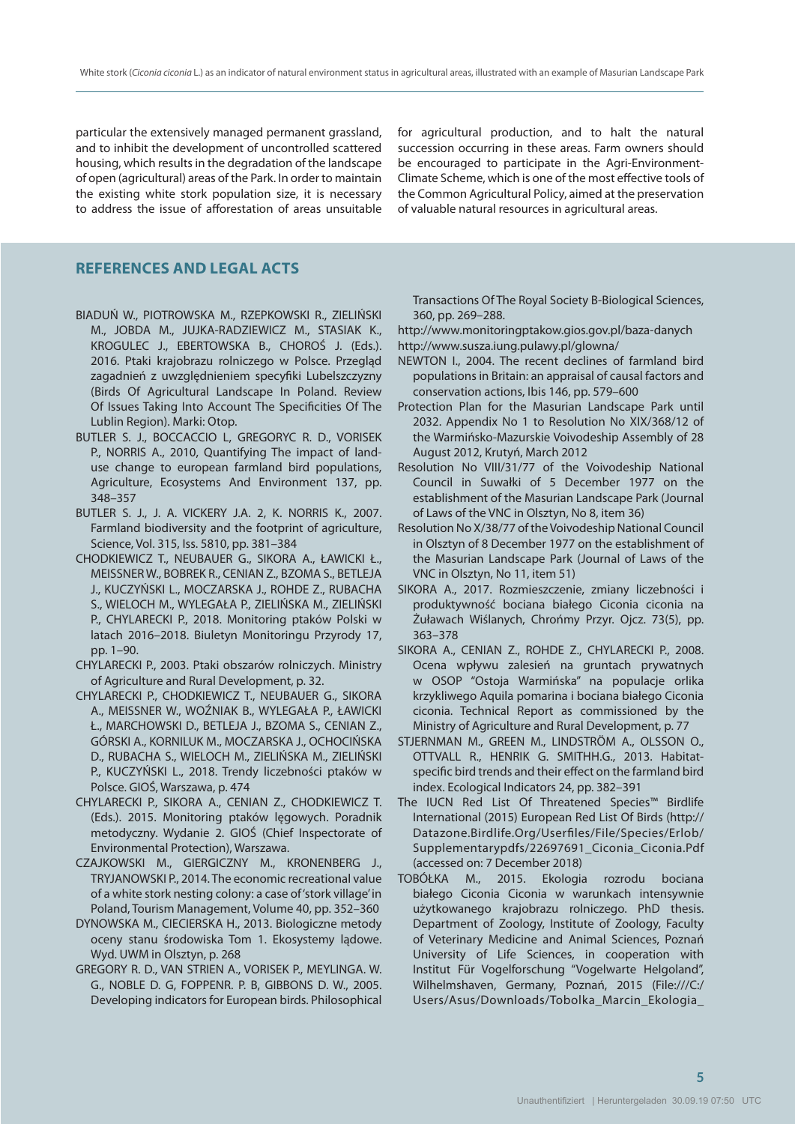particular the extensively managed permanent grassland, and to inhibit the development of uncontrolled scattered housing, which results in the degradation of the landscape of open (agricultural) areas of the Park. In order to maintain the existing white stork population size, it is necessary to address the issue of afforestation of areas unsuitable for agricultural production, and to halt the natural succession occurring in these areas. Farm owners should be encouraged to participate in the Agri-Environment-Climate Scheme, which is one of the most effective tools of the Common Agricultural Policy, aimed at the preservation of valuable natural resources in agricultural areas.

## **REFERENCES AND LEGAL ACTS**

- BIADUŃ W., PIOTROWSKA M., RZEPKOWSKI R., ZIELIŃSKI M., JOBDA M., JUJKA-RADZIEWICZ M., STASIAK K., KROGULEC J., EBERTOWSKA B., CHOROŚ J. (Eds.). 2016. Ptaki krajobrazu rolniczego w Polsce. Przegląd zagadnień z uwzględnieniem specyfiki Lubelszczyzny (Birds Of Agricultural Landscape In Poland. Review Of Issues Taking Into Account The Specificities Of The Lublin Region). Marki: Otop.
- BUTLER S. J., BOCCACCIO L, GREGORYC R. D., VORISEK P., NORRIS A., 2010, Quantifying The impact of landuse change to european farmland bird populations, Agriculture, Ecosystems And Environment 137, pp. 348–357
- BUTLER S. J., J. A. VICKERY J.A. 2, K. NORRIS K., 2007. Farmland biodiversity and the footprint of agriculture, Science, Vol. 315, Iss. 5810, pp. 381–384
- CHODKIEWICZ T., NEUBAUER G., SIKORA A., ŁAWICKI Ł., MEISSNER W., BOBREK R., CENIAN Z., BZOMA S., BETLEJA J., KUCZYŃSKI L., MOCZARSKA J., ROHDE Z., RUBACHA S., WIELOCH M., WYLEGAŁA P., ZIELIŃSKA M., ZIELIŃSKI P., CHYLARECKI P., 2018. Monitoring ptaków Polski w latach 2016–2018. Biuletyn Monitoringu Przyrody 17, pp. 1–90.
- CHYLARECKI P., 2003. Ptaki obszarów rolniczych. Ministry of Agriculture and Rural Development, p. 32.
- CHYLARECKI P., CHODKIEWICZ T., NEUBAUER G., SIKORA A., MEISSNER W., WOŹNIAK B., WYLEGAŁA P., ŁAWICKI Ł., MARCHOWSKI D., BETLEJA J., BZOMA S., CENIAN Z., GÓRSKI A., KORNILUK M., MOCZARSKA J., OCHOCIŃSKA D., RUBACHA S., WIELOCH M., ZIELIŃSKA M., ZIELIŃSKI P., KUCZYŃSKI L., 2018. Trendy liczebności ptaków w Polsce. GIOŚ, Warszawa, p. 474
- CHYLARECKI P., SIKORA A., CENIAN Z., CHODKIEWICZ T. (Eds.). 2015. Monitoring ptaków lęgowych. Poradnik metodyczny. Wydanie 2. GIOŚ (Chief Inspectorate of Environmental Protection), Warszawa.
- CZAJKOWSKI M., GIERGICZNY M., KRONENBERG J., TRYJANOWSKI P., 2014. The economic recreational value of a white stork nesting colony: a case of 'stork village' in Poland, Tourism Management, Volume 40, pp. 352–360
- DYNOWSKA M., CIECIERSKA H., 2013. Biologiczne metody oceny stanu środowiska Tom 1. Ekosystemy lądowe. Wyd. UWM in Olsztyn, p. 268
- GREGORY R. D., VAN STRIEN A., VORISEK P., MEYLINGA. W. G., NOBLE D. G, FOPPENR. P. B, GIBBONS D. W., 2005. Developing indicators for European birds. Philosophical

Transactions Of The Royal Society B-Biological Sciences, 360, pp. 269–288.

http://www.monitoringptakow.gios.gov.pl/baza-danych http://www.susza.iung.pulawy.pl/glowna/

- NEWTON I., 2004. The recent declines of farmland bird populations in Britain: an appraisal of causal factors and conservation actions, Ibis 146, pp. 579–600
- Protection Plan for the Masurian Landscape Park until 2032. Appendix No 1 to Resolution No XIX/368/12 of the Warmińsko-Mazurskie Voivodeship Assembly of 28 August 2012, Krutyń, March 2012
- Resolution No VIII/31/77 of the Voivodeship National Council in Suwałki of 5 December 1977 on the establishment of the Masurian Landscape Park (Journal of Laws of the VNC in Olsztyn, No 8, item 36)
- Resolution No X/38/77 of the Voivodeship National Council in Olsztyn of 8 December 1977 on the establishment of the Masurian Landscape Park (Journal of Laws of the VNC in Olsztyn, No 11, item 51)
- SIKORA A., 2017. Rozmieszczenie, zmiany liczebności i produktywność bociana białego Ciconia ciconia na Żuławach Wiślanych, Chrońmy Przyr. Ojcz. 73(5), pp. 363–378
- SIKORA A., CENIAN Z., ROHDE Z., CHYLARECKI P., 2008. Ocena wpływu zalesień na gruntach prywatnych w OSOP "Ostoja Warmińska" na populacje orlika krzykliwego Aquila pomarina i bociana białego Ciconia ciconia. Technical Report as commissioned by the Ministry of Agriculture and Rural Development, p. 77
- STJERNMAN M., GREEN M., LINDSTRÖM A., OLSSON O., OTTVALL R., HENRIK G. SMITHH.G., 2013. Habitatspecific bird trends and their effect on the farmland bird index. Ecological Indicators 24, pp. 382–391
- The IUCN Red List Of Threatened Species™ Birdlife International (2015) European Red List Of Birds (http:// Datazone.Birdlife.Org/Userfiles/File/Species/Erlob/ Supplementarypdfs/22697691\_Ciconia\_Ciconia.Pdf (accessed on: 7 December 2018)
- TOBÓŁKA M., 2015. Ekologia rozrodu bociana białego Ciconia Ciconia w warunkach intensywnie użytkowanego krajobrazu rolniczego. PhD thesis. Department of Zoology, Institute of Zoology, Faculty of Veterinary Medicine and Animal Sciences, Poznań University of Life Sciences, in cooperation with Institut Für Vogelforschung "Vogelwarte Helgoland", Wilhelmshaven, Germany, Poznań, 2015 (File:///C:/ Users/Asus/Downloads/Tobolka\_Marcin\_Ekologia\_

**5 5**